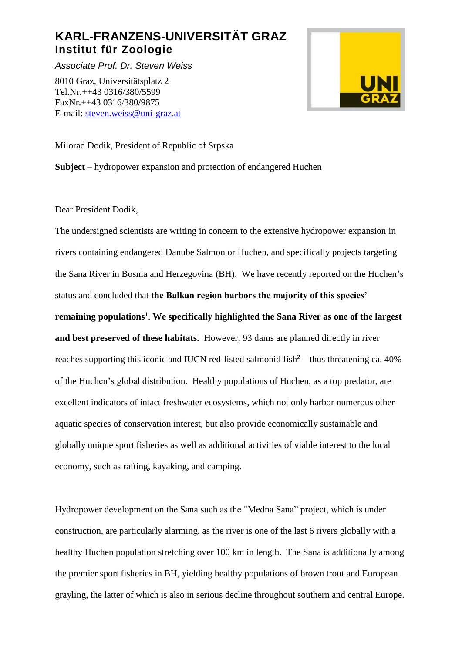# **KARL-FRANZENS-UNIVERSITÄT GRAZ Institut für Zoologie**

*Associate Prof. Dr. Steven Weiss*

8010 Graz, Universitätsplatz 2 Tel.Nr.++43 0316/380/5599 FaxNr.++43 0316/380/9875 E-mail: [steven.weiss@uni-graz.at](mailto:steven.weiss@uni-graz.at)



Milorad Dodik, President of Republic of Srpska

**Subject** – hydropower expansion and protection of endangered Huchen

Dear President Dodik,

The undersigned scientists are writing in concern to the extensive hydropower expansion in rivers containing endangered Danube Salmon or Huchen, and specifically projects targeting the Sana River in Bosnia and Herzegovina (BH). We have recently reported on the Huchen's status and concluded that **the Balkan region harbors the majority of this species' remaining populations<sup>1</sup>** . **We specifically highlighted the Sana River as one of the largest and best preserved of these habitats.** However, 93 dams are planned directly in river reaches supporting this iconic and IUCN red-listed salmonid fish**<sup>2</sup>** – thus threatening ca. 40% of the Huchen's global distribution. Healthy populations of Huchen, as a top predator, are excellent indicators of intact freshwater ecosystems, which not only harbor numerous other aquatic species of conservation interest, but also provide economically sustainable and globally unique sport fisheries as well as additional activities of viable interest to the local economy, such as rafting, kayaking, and camping.

Hydropower development on the Sana such as the "Medna Sana" project, which is under construction, are particularly alarming, as the river is one of the last 6 rivers globally with a healthy Huchen population stretching over 100 km in length. The Sana is additionally among the premier sport fisheries in BH, yielding healthy populations of brown trout and European grayling, the latter of which is also in serious decline throughout southern and central Europe.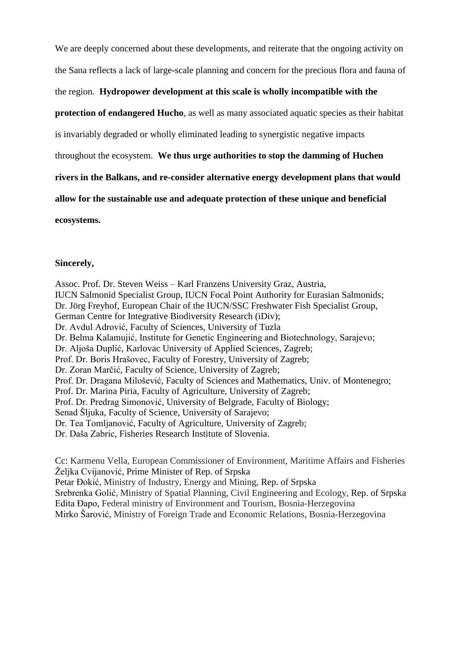We are deeply concerned about these developments, and reiterate that the ongoing activity on the Sana reflects a lack of large-scale planning and concern for the precious flora and fauna of

## the region. **Hydropower development at this scale is wholly incompatible with the**

**protection of endangered Hucho**, as well as many associated aquatic species as their habitat

is invariably degraded or wholly eliminated leading to synergistic negative impacts

throughout the ecosystem. **We thus urge authorities to stop the damming of Huchen** 

**rivers in the Balkans, and re-consider alternative energy development plans that would** 

**allow for the sustainable use and adequate protection of these unique and beneficial** 

**ecosystems.**

### **Sincerely,**

Assoc. Prof. Dr. Steven Weiss – Karl Franzens University Graz, Austria, IUCN Salmonid Specialist Group, IUCN Focal Point Authority for Eurasian Salmonids; Dr. Jörg Freyhof, European Chair of the IUCN/SSC Freshwater Fish Specialist Group, German Centre for Integrative Biodiversity Research (iDiv); Dr. Avdul Adrović, Faculty of Sciences, University of Tuzla Dr. Belma Kalamujić, Institute for Genetic Engineering and Biotechnology, Sarajevo; Dr. Aljoša Duplić, Karlovac University of Applied Sciences, Zagreb; Prof. Dr. Boris Hrašovec, Faculty of Forestry, University of Zagreb; Dr. Zoran Marčić, Faculty of Science, University of Zagreb; Prof. Dr. Dragana Milošević, Faculty of Sciences and Mathematics, Univ. of Montenegro; Prof. Dr. Marina Piria, Faculty of Agriculture, University of Zagreb; Prof. Dr. Predrag Simonović, University of Belgrade, Faculty of Biology; Senad Šljuka, Faculty of Science, University of Sarajevo; Dr. Tea Tomljanović, Faculty of Agriculture, University of Zagreb; Dr. Daša Zabric, Fisheries Research Institute of Slovenia.

Cc: Karmenu Vella, European Commissioner of Environment, Maritime Affairs and Fisheries Željka Cvijanović, Prime Minister of Rep. of Srpska Petar Đokić, Ministry of Industry, Energy and Mining, Rep. of Srpska Srebrenka Golić, Ministry of Spatial Planning, Civil Engineering and Ecology, Rep. of Srpska Edita Đapo, Federal ministry of Environment and Tourism, Bosnia-Herzegovina Mirko Šarović, Ministry of Foreign Trade and Economic Relations, Bosnia-Herzegovina